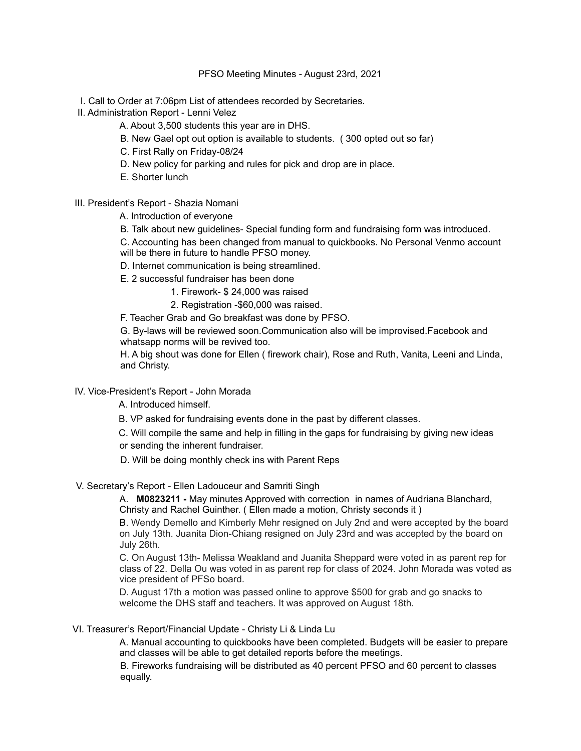### PFSO Meeting Minutes - August 23rd, 2021

- I. Call to Order at 7:06pm List of attendees recorded by Secretaries.
- II. Administration Report Lenni Velez
	- A. About 3,500 students this year are in DHS.
	- B. New Gael opt out option is available to students. ( 300 opted out so far)
	- C. First Rally on Friday-08/24
	- D. New policy for parking and rules for pick and drop are in place.
	- E. Shorter lunch
- III. President's Report Shazia Nomani
	- A. Introduction of everyone
	- B. Talk about new guidelines- Special funding form and fundraising form was introduced.

C. Accounting has been changed from manual to quickbooks. No Personal Venmo account will be there in future to handle PFSO money.

- D. Internet communication is being streamlined.
- E. 2 successful fundraiser has been done
	- 1. Firework- \$ 24,000 was raised
	- 2. Registration -\$60,000 was raised.

F. Teacher Grab and Go breakfast was done by PFSO.

G. By-laws will be reviewed soon.Communication also will be improvised.Facebook and whatsapp norms will be revived too.

H. A big shout was done for Ellen ( firework chair), Rose and Ruth, Vanita, Leeni and Linda, and Christy.

# IV. Vice-President's Report - John Morada

A. Introduced himself.

B. VP asked for fundraising events done in the past by different classes.

C. Will compile the same and help in filling in the gaps for fundraising by giving new ideas or sending the inherent fundraiser.

- D. Will be doing monthly check ins with Parent Reps
- V. Secretary's Report Ellen Ladouceur and Samriti Singh

A. **M0823211 -** May minutes Approved with correction in names of Audriana Blanchard, Christy and Rachel Guinther. ( Ellen made a motion, Christy seconds it )

B. Wendy Demello and Kimberly Mehr resigned on July 2nd and were accepted by the board on July 13th. Juanita Dion-Chiang resigned on July 23rd and was accepted by the board on July 26th.

C. On August 13th- Melissa Weakland and Juanita Sheppard were voted in as parent rep for class of 22. Della Ou was voted in as parent rep for class of 2024. John Morada was voted as vice president of PFSo board.

D. August 17th a motion was passed online to approve \$500 for grab and go snacks to welcome the DHS staff and teachers. It was approved on August 18th.

# VI. Treasurer's Report/Financial Update - Christy Li & Linda Lu

A. Manual accounting to quickbooks have been completed. Budgets will be easier to prepare and classes will be able to get detailed reports before the meetings.

B. Fireworks fundraising will be distributed as 40 percent PFSO and 60 percent to classes equally.